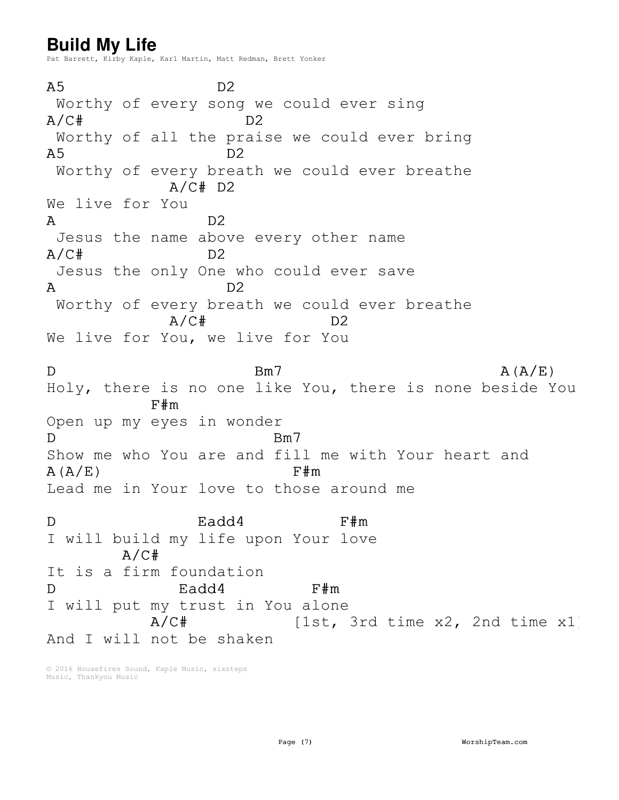## **Build My Life**

Pat Barrett, Kirby Kaple, Karl Martin, Matt Redman, Brett Yonker

 $A5$  D2 Worthy of every song we could ever sing  $A/C$ # D2 Worthy of all the praise we could ever bring  $A5$  D2 Worthy of every breath we could ever breathe  $A/C# D2$ We live for You A D2 Jesus the name above every other name  $A/C$ # D2 Jesus the only One who could ever save A D2 Worthy of every breath we could ever breathe  $A/C$ # D2 We live for You, we live for You  $D$  Bm7 Bm7 A(A/E) Holy, there is no one like You, there is none beside You F#m Open up my eyes in wonder D Bm7 Show me who You are and fill me with Your heart and  $A(A/E)$  F#m Lead me in Your love to those around me D Eadd4 F#m I will build my life upon Your love  $A/C#$ It is a firm foundation D Eadd4 F#m I will put my trust in You alone A/C# [1st, 3rd time x2, 2nd time x1] And I will not be shaken

© 2016 Houaefires Sound, Kaple Music, sixsteps Music, Thankyou Music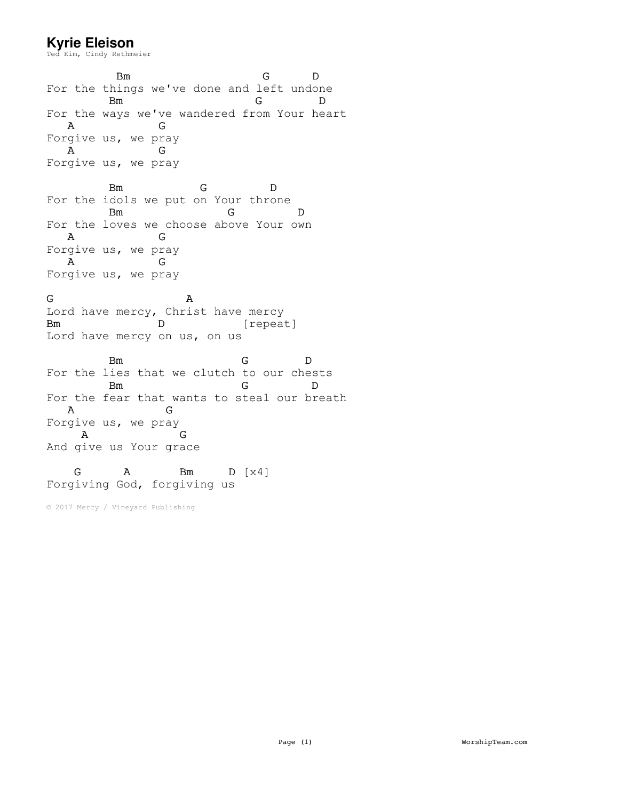## **Kyrie Eleison**

Ted Kim, Cindy Rethmeier

Bm G D For the things we've done and left undone Bm G D For the ways we've wandered from Your heart A G Forgive us, we pray A G Forgive us, we pray Bm G D

For the idols we put on Your throne Bm G D For the loves we choose above Your own A G Forgive us, we pray A G Forgive us, we pray

G A Lord have mercy, Christ have mercy Bm D [repeat] Lord have mercy on us, on us

Bm G D For the lies that we clutch to our chests Bm G D For the fear that wants to steal our breath A G Forgive us, we pray A G And give us Your grace

## G A Bm D [x4] Forgiving God, forgiving us

© 2017 Mercy / Vineyard Publishing